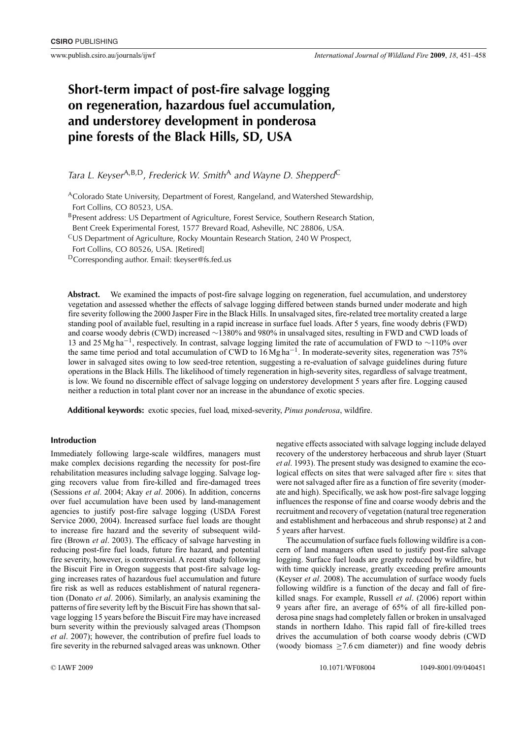# **Short-term impact of post-fire salvage logging on regeneration, hazardous fuel accumulation, and understorey development in ponderosa pine forests of the Black Hills, SD, USA**

# *Tara L. Keyser*<sup>A,B,D</sup>, *Frederick W. Smith*<sup>A</sup> *and Wayne D. Shepperd*<sup>C</sup>

<sup>A</sup>Colorado State University, Department of Forest, Rangeland, and Watershed Stewardship, Fort Collins, CO 80523, USA.

BPresent address: US Department of Agriculture, Forest Service, Southern Research Station,

Bent Creek Experimental Forest, 1577 Brevard Road, Asheville, NC 28806, USA.

CUS Department of Agriculture, Rocky Mountain Research Station, 240 W Prospect,

Fort Collins, CO 80526, USA. [Retired]

DCorresponding author. Email: [tkeyser@fs.fed.us](mailto:tkeyser@fs.fed.us)

**Abstract.** We examined the impacts of post-fire salvage logging on regeneration, fuel accumulation, and understorey vegetation and assessed whether the effects of salvage logging differed between stands burned under moderate and high fire severity following the 2000 Jasper Fire in the Black Hills. In unsalvaged sites, fire-related tree mortality created a large standing pool of available fuel, resulting in a rapid increase in surface fuel loads. After 5 years, fine woody debris (FWD) and coarse woody debris (CWD) increased ∼1380% and 980% in unsalvaged sites, resulting in FWD and CWD loads of 13 and 25 Mg ha<sup>−</sup>1, respectively. In contrast, salvage logging limited the rate of accumulation of FWD to ∼110% over the same time period and total accumulation of CWD to  $16$  Mg ha<sup> $-1$ </sup>. In moderate-severity sites, regeneration was 75% lower in salvaged sites owing to low seed-tree retention, suggesting a re-evaluation of salvage guidelines during future operations in the Black Hills. The likelihood of timely regeneration in high-severity sites, regardless of salvage treatment, is low. We found no discernible effect of salvage logging on understorey development 5 years after fire. Logging caused neither a reduction in total plant cover nor an increase in the abundance of exotic species.

**Additional keywords:** exotic species, fuel load, mixed-severity, *Pinus ponderosa*, wildfire.

# **Introduction**

Immediately following large-scale wildfires, managers must make complex decisions regarding the necessity for post-fire rehabilitation measures including salvage logging. Salvage logging recovers value from fire-killed and fire-damaged trees (Sessions *et al*. 2004; Akay *et al*. 2006). In addition, concerns over fuel accumulation have been used by land-management agencies to justify post-fire salvage logging (USDA Forest Service 2000, 2004). Increased surface fuel loads are thought to increase fire hazard and the severity of subsequent wildfire (Brown *et al*. 2003). The efficacy of salvage harvesting in reducing post-fire fuel loads, future fire hazard, and potential fire severity, however, is controversial. A recent study following the Biscuit Fire in Oregon suggests that post-fire salvage logging increases rates of hazardous fuel accumulation and future fire risk as well as reduces establishment of natural regeneration (Donato *et al*. 2006). Similarly, an analysis examining the patterns of fire severity left by the Biscuit Fire has shown that salvage logging 15 years before the Biscuit Fire may have increased burn severity within the previously salvaged areas (Thompson *et al*. 2007); however, the contribution of prefire fuel loads to fire severity in the reburned salvaged areas was unknown. Other

negative effects associated with salvage logging include delayed recovery of the understorey herbaceous and shrub layer (Stuart *et al*. 1993). The present study was designed to examine the ecological effects on sites that were salvaged after fire *v.* sites that were not salvaged after fire as a function of fire severity (moderate and high). Specifically, we ask how post-fire salvage logging influences the response of fine and coarse woody debris and the recruitment and recovery of vegetation (natural tree regeneration and establishment and herbaceous and shrub response) at 2 and 5 years after harvest.

The accumulation of surface fuels following wildfire is a concern of land managers often used to justify post-fire salvage logging. Surface fuel loads are greatly reduced by wildfire, but with time quickly increase, greatly exceeding prefire amounts (Keyser *et al*. 2008). The accumulation of surface woody fuels following wildfire is a function of the decay and fall of firekilled snags. For example, Russell *et al*. (2006) report within 9 years after fire, an average of 65% of all fire-killed ponderosa pine snags had completely fallen or broken in unsalvaged stands in northern Idaho. This rapid fall of fire-killed trees drives the accumulation of both coarse woody debris (CWD (woody biomass  $\geq$ 7.6 cm diameter)) and fine woody debris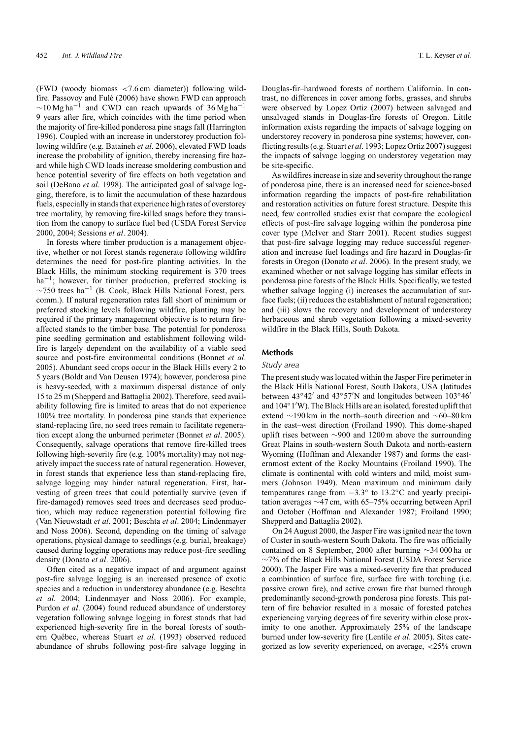(FWD (woody biomass *<*7.6 cm diameter)) following wildfire. Passovoy and Fulé (2006) have shown FWD can approach  $\sim$ 10 Mg ha<sup>-1</sup> and CWD can reach upwards of 36 Mg ha<sup>-1</sup> 9 years after fire, which coincides with the time period when the majority of fire-killed ponderosa pine snags fall (Harrington 1996). Coupled with an increase in understorey production following wildfire (e.g. Bataineh *et al*. 2006), elevated FWD loads increase the probability of ignition, thereby increasing fire hazard while high CWD loads increase smoldering combustion and hence potential severity of fire effects on both vegetation and soil (DeBano *et al*. 1998). The anticipated goal of salvage logging, therefore, is to limit the accumulation of these hazardous fuels, especially in stands that experience high rates of overstorey tree mortality, by removing fire-killed snags before they transition from the canopy to surface fuel bed (USDA Forest Service 2000, 2004; Sessions *et al*. 2004).

In forests where timber production is a management objective, whether or not forest stands regenerate following wildfire determines the need for post-fire planting activities. In the Black Hills, the minimum stocking requirement is 370 trees ha<sup>-1</sup>; however, for timber production, preferred stocking is ∼750 trees ha−<sup>1</sup> (B. Cook, Black Hills National Forest, pers. comm.). If natural regeneration rates fall short of minimum or preferred stocking levels following wildfire, planting may be required if the primary management objective is to return fireaffected stands to the timber base. The potential for ponderosa pine seedling germination and establishment following wildfire is largely dependent on the availability of a viable seed source and post-fire environmental conditions (Bonnet *et al*. 2005). Abundant seed crops occur in the Black Hills every 2 to 5 years (Boldt and Van Deusen 1974); however, ponderosa pine is heavy-seeded, with a maximum dispersal distance of only 15 to 25 m (Shepperd and Battaglia 2002). Therefore, seed availability following fire is limited to areas that do not experience 100% tree mortality. In ponderosa pine stands that experience stand-replacing fire, no seed trees remain to facilitate regeneration except along the unburned perimeter (Bonnet *et al*. 2005). Consequently, salvage operations that remove fire-killed trees following high-severity fire (e.g. 100% mortality) may not negatively impact the success rate of natural regeneration. However, in forest stands that experience less than stand-replacing fire, salvage logging may hinder natural regeneration. First, harvesting of green trees that could potentially survive (even if fire-damaged) removes seed trees and decreases seed production, which may reduce regeneration potential following fire (Van Nieuwstadt *et al*. 2001; Beschta *et al*. 2004; Lindenmayer and Noss 2006). Second, depending on the timing of salvage operations, physical damage to seedlings (e.g. burial, breakage) caused during logging operations may reduce post-fire seedling density (Donato *et al*. 2006).

Often cited as a negative impact of and argument against post-fire salvage logging is an increased presence of exotic species and a reduction in understorey abundance (e.g. Beschta *et al.* 2004; Lindenmayer and Noss 2006). For example, Purdon *et al*. (2004) found reduced abundance of understorey vegetation following salvage logging in forest stands that had experienced high-severity fire in the boreal forests of southern Québec, whereas Stuart *et al*. (1993) observed reduced abundance of shrubs following post-fire salvage logging in

Douglas-fir–hardwood forests of northern California. In contrast, no differences in cover among forbs, grasses, and shrubs were observed by Lopez Ortiz (2007) between salvaged and unsalvaged stands in Douglas-fire forests of Oregon. Little information exists regarding the impacts of salvage logging on understorey recovery in ponderosa pine systems; however, conflicting results (e.g. Stuart *et al*. 1993; Lopez Ortiz 2007) suggest the impacts of salvage logging on understorey vegetation may be site-specific.

As wildfires increase in size and severity throughout the range of ponderosa pine, there is an increased need for science-based information regarding the impacts of post-fire rehabilitation and restoration activities on future forest structure. Despite this need, few controlled studies exist that compare the ecological effects of post-fire salvage logging within the ponderosa pine cover type (McIver and Starr 2001). Recent studies suggest that post-fire salvage logging may reduce successful regeneration and increase fuel loadings and fire hazard in Douglas-fir forests in Oregon (Donato *et al*. 2006). In the present study, we examined whether or not salvage logging has similar effects in ponderosa pine forests of the Black Hills. Specifically, we tested whether salvage logging (i) increases the accumulation of surface fuels; (ii) reduces the establishment of natural regeneration; and (iii) slows the recovery and development of understorey herbaceous and shrub vegetation following a mixed-severity wildfire in the Black Hills, South Dakota.

# **Methods**

#### *Study area*

The present study was located within the Jasper Fire perimeter in the Black Hills National Forest, South Dakota, USA (latitudes between 43°42' and 43°57'N and longitudes between 103°46' and 104◦1 W).The Black Hills are an isolated, forested uplift that extend ∼190 km in the north–south direction and ∼60–80 km in the east–west direction (Froiland 1990). This dome-shaped uplift rises between ∼900 and 1200 m above the surrounding Great Plains in south-western South Dakota and north-eastern Wyoming (Hoffman and Alexander 1987) and forms the easternmost extent of the Rocky Mountains (Froiland 1990). The climate is continental with cold winters and mild, moist summers (Johnson 1949). Mean maximum and minimum daily temperatures range from −3.3◦ to 13.2◦C and yearly precipitation averages ∼47 cm, with 65–75% occurring between April and October (Hoffman and Alexander 1987; Froiland 1990; Shepperd and Battaglia 2002).

On 24 August 2000, the Jasper Fire was ignited near the town of Custer in south-western South Dakota. The fire was officially contained on 8 September, 2000 after burning ∼34 000 ha or ∼7% of the Black Hills National Forest (USDA Forest Service 2000). The Jasper Fire was a mixed-severity fire that produced a combination of surface fire, surface fire with torching (i.e. passive crown fire), and active crown fire that burned through predominantly second-growth ponderosa pine forests. This pattern of fire behavior resulted in a mosaic of forested patches experiencing varying degrees of fire severity within close proximity to one another. Approximately 25% of the landscape burned under low-severity fire (Lentile *et al*. 2005). Sites categorized as low severity experienced, on average, *<*25% crown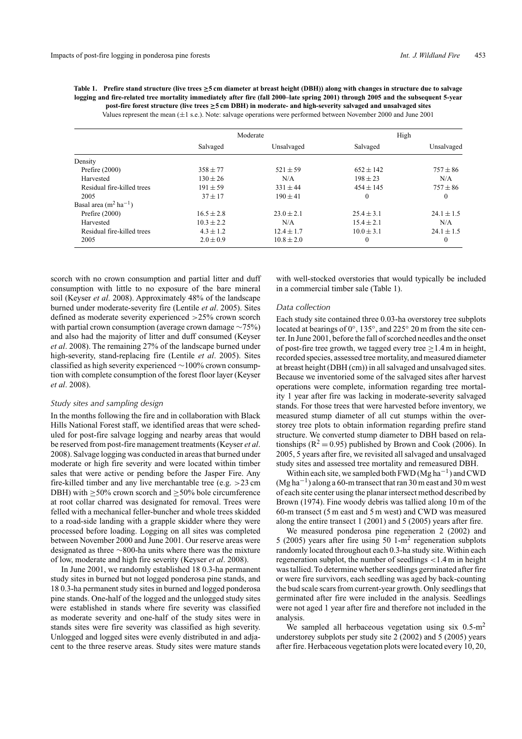| Table 1. Prefire stand structure (live trees $\geq$ 5 cm diameter at breast height (DBH)) along with changes in structure due to salvage |
|------------------------------------------------------------------------------------------------------------------------------------------|
| logging and fire-related tree mortality immediately after fire (fall 2000–late spring 2001) through 2005 and the subsequent 5-year       |
| post-fire forest structure (live trees $\geq$ 5 cm DBH) in moderate- and high-severity salvaged and unsalvaged sites                     |
| Values represent the mean $(\pm 1 \text{ s.e.})$ . Note: salvage operations were performed between November 2000 and June 2001           |

|                            | Moderate       |                | High           |                |
|----------------------------|----------------|----------------|----------------|----------------|
|                            | Salvaged       | Unsalvaged     | Salvaged       | Unsalvaged     |
| Density                    |                |                |                |                |
| Prefire $(2000)$           | $358 \pm 77$   | $521 \pm 59$   | $652 + 142$    | $757 \pm 86$   |
| Harvested                  | $130 \pm 26$   | N/A            | $198 \pm 23$   | N/A            |
| Residual fire-killed trees | $191 \pm 59$   | $331 \pm 44$   | $454 \pm 145$  | $757 \pm 86$   |
| 2005                       | $37 + 17$      | $190 \pm 41$   | $\mathbf{0}$   | $\theta$       |
| Basal area $(m^2 ha^{-1})$ |                |                |                |                |
| Prefire $(2000)$           | $16.5 \pm 2.8$ | $23.0 \pm 2.1$ | $25.4 \pm 3.1$ | $24.1 \pm 1.5$ |
| Harvested                  | $10.3 \pm 2.2$ | N/A            | $15.4 \pm 2.1$ | N/A            |
| Residual fire-killed trees | $4.3 \pm 1.2$  | $12.4 \pm 1.7$ | $10.0 \pm 3.1$ | $24.1 \pm 1.5$ |
| 2005                       | $2.0 \pm 0.9$  | $10.8 \pm 2.0$ | $\mathbf{0}$   | $\Omega$       |

scorch with no crown consumption and partial litter and duff consumption with little to no exposure of the bare mineral soil (Keyser *et al*. 2008). Approximately 48% of the landscape burned under moderate-severity fire (Lentile *et al*. 2005). Sites defined as moderate severity experienced *>*25% crown scorch with partial crown consumption (average crown damage ∼75%) and also had the majority of litter and duff consumed (Keyser *et al*. 2008). The remaining 27% of the landscape burned under high-severity, stand-replacing fire (Lentile *et al*. 2005). Sites classified as high severity experienced ∼100% crown consumption with complete consumption of the forest floor layer (Keyser *et al*. 2008).

# *Study sites and sampling design*

In the months following the fire and in collaboration with Black Hills National Forest staff, we identified areas that were scheduled for post-fire salvage logging and nearby areas that would be reserved from post-fire management treatments (Keyser *et al*. 2008). Salvage logging was conducted in areas that burned under moderate or high fire severity and were located within timber sales that were active or pending before the Jasper Fire. Any fire-killed timber and any live merchantable tree (e.g. *>*23 cm DBH) with  $\geq$ 50% crown scorch and  $\geq$ 50% bole circumference at root collar charred was designated for removal. Trees were felled with a mechanical feller-buncher and whole trees skidded to a road-side landing with a grapple skidder where they were processed before loading. Logging on all sites was completed between November 2000 and June 2001. Our reserve areas were designated as three ∼800-ha units where there was the mixture of low, moderate and high fire severity (Keyser *et al*. 2008).

In June 2001, we randomly established 18 0.3-ha permanent study sites in burned but not logged ponderosa pine stands, and 18 0.3-ha permanent study sites in burned and logged ponderosa pine stands. One-half of the logged and the unlogged study sites were established in stands where fire severity was classified as moderate severity and one-half of the study sites were in stands sites were fire severity was classified as high severity. Unlogged and logged sites were evenly distributed in and adjacent to the three reserve areas. Study sites were mature stands

with well-stocked overstories that would typically be included in a commercial timber sale (Table 1).

#### *Data collection*

Each study site contained three 0.03-ha overstorey tree subplots located at bearings of 0◦, 135◦, and 225◦ 20 m from the site center. In June 2001, before the fall of scorched needles and the onset of post-fire tree growth, we tagged every tree  $\geq$  1.4 m in height, recorded species, assessed tree mortality, and measured diameter at breast height (DBH (cm)) in all salvaged and unsalvaged sites. Because we inventoried some of the salvaged sites after harvest operations were complete, information regarding tree mortality 1 year after fire was lacking in moderate-severity salvaged stands. For those trees that were harvested before inventory, we measured stump diameter of all cut stumps within the overstorey tree plots to obtain information regarding prefire stand structure. We converted stump diameter to DBH based on relationships ( $R^2 = 0.95$ ) published by Brown and Cook (2006). In 2005, 5 years after fire, we revisited all salvaged and unsalvaged study sites and assessed tree mortality and remeasured DBH.

Within each site, we sampled both FWD (Mg ha<sup>-1</sup>) and CWD (Mg ha<sup>-1</sup>) along a 60-m transect that ran 30 m east and 30 m west of each site center using the planar intersect method described by Brown (1974). Fine woody debris was tallied along 10 m of the 60-m transect (5 m east and 5 m west) and CWD was measured along the entire transect 1 (2001) and 5 (2005) years after fire.

We measured ponderosa pine regeneration 2 (2002) and 5 (2005) years after fire using 50 1-m<sup>2</sup> regeneration subplots randomly located throughout each 0.3-ha study site. Within each regeneration subplot, the number of seedlings *<*1.4 m in height was tallied.To determine whether seedlings germinated after fire or were fire survivors, each seedling was aged by back-counting the bud scale scars from current-year growth. Only seedlings that germinated after fire were included in the analysis. Seedlings were not aged 1 year after fire and therefore not included in the analysis.

We sampled all herbaceous vegetation using six  $0.5 \text{--} \text{m}^2$ understorey subplots per study site 2 (2002) and 5 (2005) years after fire. Herbaceous vegetation plots were located every 10, 20,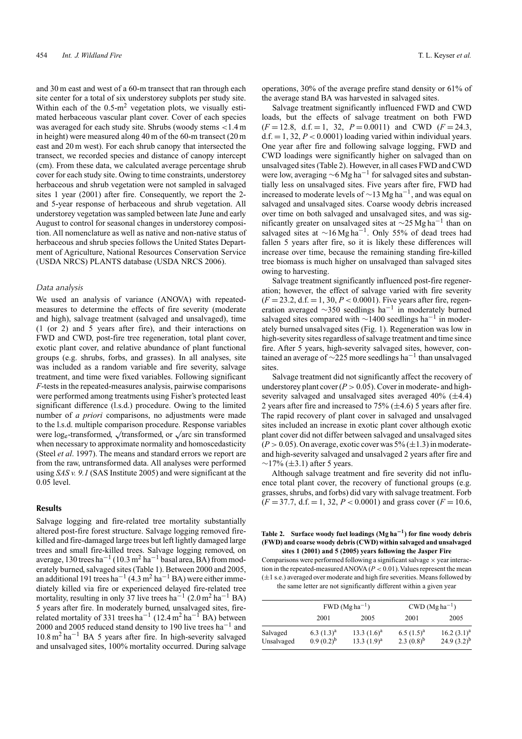and 30 m east and west of a 60-m transect that ran through each site center for a total of six understorey subplots per study site. Within each of the  $0.5 \text{-} m^2$  vegetation plots, we visually estimated herbaceous vascular plant cover. Cover of each species was averaged for each study site. Shrubs (woody stems *<*1.4 m in height) were measured along 40 m of the 60-m transect (20 m east and 20 m west). For each shrub canopy that intersected the transect, we recorded species and distance of canopy intercept (cm). From these data, we calculated average percentage shrub cover for each study site. Owing to time constraints, understorey herbaceous and shrub vegetation were not sampled in salvaged sites 1 year (2001) after fire. Consequently, we report the 2 and 5-year response of herbaceous and shrub vegetation. All understorey vegetation was sampled between late June and early August to control for seasonal changes in understorey composition. All nomenclature as well as native and non-native status of herbaceous and shrub species follows the United States Department of Agriculture, National Resources Conservation Service (USDA NRCS) PLANTS database (USDA NRCS 2006).

#### *Data analysis*

We used an analysis of variance (ANOVA) with repeatedmeasures to determine the effects of fire severity (moderate and high), salvage treatment (salvaged and unsalvaged), time (1 (or 2) and 5 years after fire), and their interactions on FWD and CWD, post-fire tree regeneration, total plant cover, exotic plant cover, and relative abundance of plant functional groups (e.g. shrubs, forbs, and grasses). In all analyses, site was included as a random variable and fire severity, salvage treatment, and time were fixed variables. Following significant *F*-tests in the repeated-measures analysis, pairwise comparisons were performed among treatments using Fisher's protected least significant difference (l.s.d.) procedure. Owing to the limited number of *a priori* comparisons, no adjustments were made to the l.s.d. multiple comparison procedure. Response variables were loge-transformed, <sup>√</sup>transformed, or <sup>√</sup>arc sin transformed when necessary to approximate normality and homoscedasticity (Steel *et al*. 1997). The means and standard errors we report are from the raw, untransformed data. All analyses were performed using *SAS v. 9.1* (SAS Institute 2005) and were significant at the 0.05 level.

# **Results**

Salvage logging and fire-related tree mortality substantially altered post-fire forest structure. Salvage logging removed firekilled and fire-damaged large trees but left lightly damaged large trees and small fire-killed trees. Salvage logging removed, on average, 130 trees ha<sup> $-1$ </sup> (10.3 m<sup>2</sup> ha<sup> $-1$ </sup> basal area, BA) from moderately burned, salvaged sites (Table 1). Between 2000 and 2005, an additional 191 trees ha<sup>-1</sup> (4.3 m<sup>2</sup> ha<sup>-1</sup> BA) were either immediately killed via fire or experienced delayed fire-related tree mortality, resulting in only 37 live trees ha<sup>-1</sup> (2.0 m<sup>2</sup> ha<sup>-1</sup> BA) 5 years after fire. In moderately burned, unsalvaged sites, firerelated mortality of 331 trees ha<sup>-1</sup> (12.4 m<sup>2</sup> ha<sup>-1</sup> BA) between 2000 and 2005 reduced stand density to 190 live trees ha<sup>-1</sup> and 10.8 m<sup>2</sup> ha−<sup>1</sup> BA 5 years after fire. In high-severity salvaged and unsalvaged sites, 100% mortality occurred. During salvage

operations, 30% of the average prefire stand density or 61% of the average stand BA was harvested in salvaged sites.

Salvage treatment significantly influenced FWD and CWD loads, but the effects of salvage treatment on both FWD  $(F = 12.8, d.f. = 1, 32, P = 0.0011)$  and CWD  $(F = 24.3,$  $d.f. = 1, 32, P < 0.0001$ ) loading varied within individual years. One year after fire and following salvage logging, FWD and CWD loadings were significantly higher on salvaged than on unsalvaged sites (Table 2). However, in all cases FWD and CWD were low, averaging ∼6 Mg ha<sup>-1</sup> for salvaged sites and substantially less on unsalvaged sites. Five years after fire, FWD had increased to moderate levels of  $\sim$ 13 Mg ha<sup>-1</sup>, and was equal on salvaged and unsalvaged sites. Coarse woody debris increased over time on both salvaged and unsalvaged sites, and was significantly greater on unsalvaged sites at ∼25 Mg ha−<sup>1</sup> than on salvaged sites at ∼16 Mg ha<sup>−</sup>1. Only 55% of dead trees had fallen 5 years after fire, so it is likely these differences will increase over time, because the remaining standing fire-killed tree biomass is much higher on unsalvaged than salvaged sites owing to harvesting.

Salvage treatment significantly influenced post-fire regeneration; however, the effect of salvage varied with fire severity  $(F = 23.2, d.f. = 1, 30, P < 0.0001)$ . Five years after fire, regeneration averaged  $\sim$ 350 seedlings ha<sup>-1</sup> in moderately burned salvaged sites compared with ∼1400 seedlings ha−<sup>1</sup> in moderately burned unsalvaged sites (Fig. 1). Regeneration was low in high-severity sites regardless of salvage treatment and time since fire. After 5 years, high-severity salvaged sites, however, contained an average of  $\sim$ 225 more seedlings ha<sup>-1</sup> than unsalvaged sites.

Salvage treatment did not significantly affect the recovery of understorey plant cover  $(P > 0.05)$ . Cover in moderate- and highseverity salvaged and unsalvaged sites averaged  $40\%$  ( $\pm$ 4.4) 2 years after fire and increased to  $75\%$  ( $\pm$ 4.6) 5 years after fire. The rapid recovery of plant cover in salvaged and unsalvaged sites included an increase in exotic plant cover although exotic plant cover did not differ between salvaged and unsalvaged sites  $(P > 0.05)$ . On average, exotic cover was 5% ( $\pm$ 1.3) in moderateand high-severity salvaged and unsalvaged 2 years after fire and  $\sim$ 17% ( $\pm$ 3.1) after 5 years.

Although salvage treatment and fire severity did not influence total plant cover, the recovery of functional groups (e.g. grasses, shrubs, and forbs) did vary with salvage treatment. Forb  $(F = 37.7, d.f. = 1, 32, P < 0.0001)$  and grass cover  $(F = 10.6,$ 

#### **Table 2. Surface woody fuel loadings (Mg ha<sup>−</sup>1) for fine woody debris (FWD) and coarse woody debris (CWD) within salvaged and unsalvaged sites 1 (2001) and 5 (2005) years following the Jasper Fire**

Comparisons were performed following a significant salvage  $\times$  year interaction in the repeated-measured ANOVA ( $P < 0.01$ ). Values represent the mean  $(\pm 1 \text{ s.e.})$  averaged over moderate and high fire severities. Means followed by the same letter are not significantly different within a given year

|                        | $FWD (Mgha^{-1})$           |                                 | $CWD (Mg ha^{-1})$              |                                    |
|------------------------|-----------------------------|---------------------------------|---------------------------------|------------------------------------|
|                        | 2001                        | 2005                            | 2001                            | 2005                               |
| Salvaged<br>Unsalvaged | $(1.3)^a$<br>$0.9(0.2)^{b}$ | $13.3(1.6)^a$<br>$13.3 (1.9)^a$ | $6.5 (1.5)^a$<br>$2.3(0.8)^{b}$ | $16.2 (3.1)^a$<br>24.9 $(3.2)^{b}$ |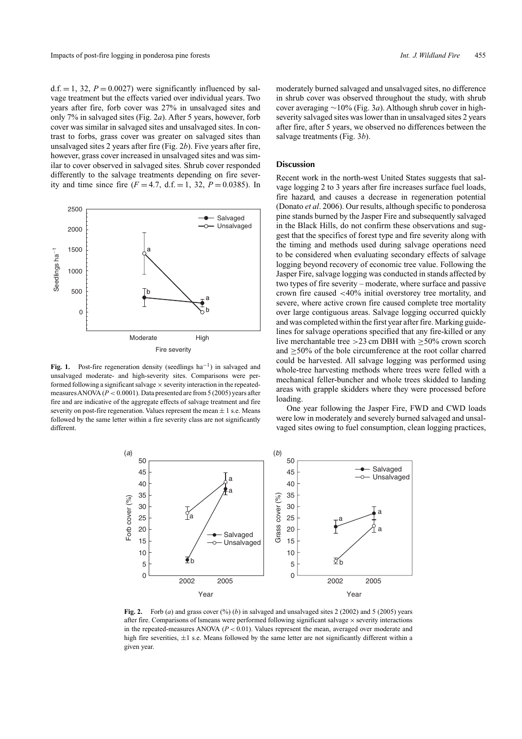$d.f. = 1, 32, P = 0.0027$  were significantly influenced by salvage treatment but the effects varied over individual years. Two years after fire, forb cover was 27% in unsalvaged sites and only 7% in salvaged sites (Fig. 2*a*). After 5 years, however, forb cover was similar in salvaged sites and unsalvaged sites. In contrast to forbs, grass cover was greater on salvaged sites than unsalvaged sites 2 years after fire (Fig. 2*b*). Five years after fire, however, grass cover increased in unsalvaged sites and was similar to cover observed in salvaged sites. Shrub cover responded differently to the salvage treatments depending on fire severity and time since fire  $(F = 4.7, d.f. = 1, 32, P = 0.0385)$ . In



**Fig. 1.** Post-fire regeneration density (seedlings ha<sup>−</sup>1) in salvaged and unsalvaged moderate- and high-severity sites. Comparisons were performed following a significant salvage  $\times$  severity interaction in the repeatedmeasuresANOVA (*P <* 0.0001). Data presented are from 5 (2005) years after fire and are indicative of the aggregate effects of salvage treatment and fire severity on post-fire regeneration. Values represent the mean  $\pm$  1 s.e. Means followed by the same letter within a fire severity class are not significantly different.

moderately burned salvaged and unsalvaged sites, no difference in shrub cover was observed throughout the study, with shrub cover averaging ∼10% (Fig. 3*a*). Although shrub cover in highseverity salvaged sites was lower than in unsalvaged sites 2 years after fire, after 5 years, we observed no differences between the salvage treatments (Fig. 3*b*).

## **Discussion**

Recent work in the north-west United States suggests that salvage logging 2 to 3 years after fire increases surface fuel loads, fire hazard, and causes a decrease in regeneration potential (Donato *et al*. 2006). Our results, although specific to ponderosa pine stands burned by the Jasper Fire and subsequently salvaged in the Black Hills, do not confirm these observations and suggest that the specifics of forest type and fire severity along with the timing and methods used during salvage operations need to be considered when evaluating secondary effects of salvage logging beyond recovery of economic tree value. Following the Jasper Fire, salvage logging was conducted in stands affected by two types of fire severity – moderate, where surface and passive crown fire caused *<*40% initial overstorey tree mortality, and severe, where active crown fire caused complete tree mortality over large contiguous areas. Salvage logging occurred quickly and was completed within the first year after fire. Marking guidelines for salvage operations specified that any fire-killed or any live merchantable tree *>*23 cm DBH with ≥50% crown scorch and  $\geq$ 50% of the bole circumference at the root collar charred could be harvested. All salvage logging was performed using whole-tree harvesting methods where trees were felled with a mechanical feller-buncher and whole trees skidded to landing areas with grapple skidders where they were processed before loading.

One year following the Jasper Fire, FWD and CWD loads were low in moderately and severely burned salvaged and unsalvaged sites owing to fuel consumption, clean logging practices,



**Fig. 2.** Forb (*a*) and grass cover (%) (*b*) in salvaged and unsalvaged sites 2 (2002) and 5 (2005) years after fire. Comparisons of lsmeans were performed following significant salvage × severity interactions in the repeated-measures ANOVA (*P <* 0.01). Values represent the mean, averaged over moderate and high fire severities,  $\pm 1$  s.e. Means followed by the same letter are not significantly different within a given year.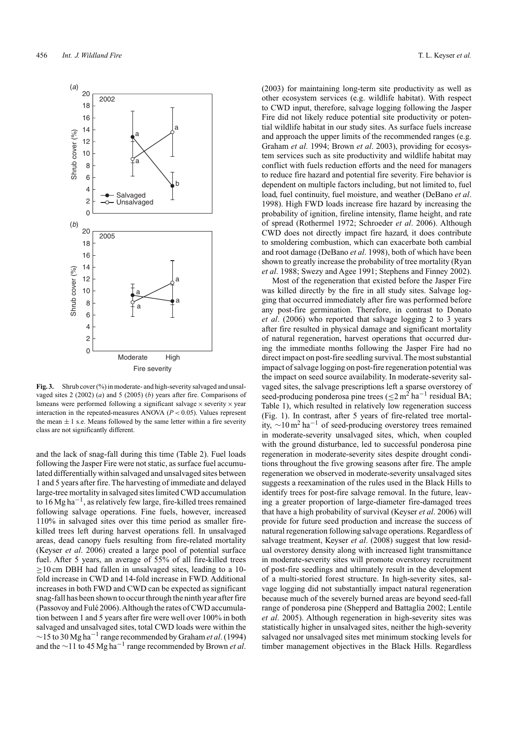

Fig. 3. Shrub cover (%) in moderate- and high-severity salvaged and unsalvaged sites 2 (2002) (*a*) and 5 (2005) (*b*) years after fire. Comparisons of lsmeans were performed following a significant salvage  $\times$  severity  $\times$  year interaction in the repeated-measures ANOVA (*P <* 0.05). Values represent the mean  $\pm 1$  s.e. Means followed by the same letter within a fire severity class are not significantly different.

and the lack of snag-fall during this time (Table 2). Fuel loads following the Jasper Fire were not static, as surface fuel accumulated differentially within salvaged and unsalvaged sites between 1 and 5 years after fire. The harvesting of immediate and delayed large-tree mortality in salvaged sites limited CWD accumulation to 16 Mg ha<sup>−</sup>1, as relatively few large, fire-killed trees remained following salvage operations. Fine fuels, however, increased 110% in salvaged sites over this time period as smaller firekilled trees left during harvest operations fell. In unsalvaged areas, dead canopy fuels resulting from fire-related mortality (Keyser *et al*. 2006) created a large pool of potential surface fuel. After 5 years, an average of 55% of all fire-killed trees  $\geq$ 10 cm DBH had fallen in unsalvaged sites, leading to a 10fold increase in CWD and 14-fold increase in FWD. Additional increases in both FWD and CWD can be expected as significant snag-fall has been shown to occur through the ninth year after fire (Passovoy and Fulé 2006).Although the rates of CWD accumulation between 1 and 5 years after fire were well over 100% in both salvaged and unsalvaged sites, total CWD loads were within the ∼15 to 30 Mg ha−<sup>1</sup> range recommended by Graham *et al*. (1994) and the ∼11 to 45 Mg ha−<sup>1</sup> range recommended by Brown *et al*. (2003) for maintaining long-term site productivity as well as other ecosystem services (e.g. wildlife habitat). With respect to CWD input, therefore, salvage logging following the Jasper Fire did not likely reduce potential site productivity or potential wildlife habitat in our study sites. As surface fuels increase and approach the upper limits of the recommended ranges (e.g. Graham *et al*. 1994; Brown *et al*. 2003), providing for ecosystem services such as site productivity and wildlife habitat may conflict with fuels reduction efforts and the need for managers to reduce fire hazard and potential fire severity. Fire behavior is dependent on multiple factors including, but not limited to, fuel load, fuel continuity, fuel moisture, and weather (DeBano *et al*. 1998). High FWD loads increase fire hazard by increasing the probability of ignition, fireline intensity, flame height, and rate of spread (Rothermel 1972; Schroeder *et al*. 2006). Although CWD does not directly impact fire hazard, it does contribute to smoldering combustion, which can exacerbate both cambial and root damage (DeBano *et al*. 1998), both of which have been shown to greatly increase the probability of tree mortality (Ryan *et al*. 1988; Swezy and Agee 1991; Stephens and Finney 2002).

Most of the regeneration that existed before the Jasper Fire was killed directly by the fire in all study sites. Salvage logging that occurred immediately after fire was performed before any post-fire germination. Therefore, in contrast to Donato *et al*. (2006) who reported that salvage logging 2 to 3 years after fire resulted in physical damage and significant mortality of natural regeneration, harvest operations that occurred during the immediate months following the Jasper Fire had no direct impact on post-fire seedling survival.The most substantial impact of salvage logging on post-fire regeneration potential was the impact on seed source availability. In moderate-severity salvaged sites, the salvage prescriptions left a sparse overstorey of seed-producing ponderosa pine trees ( $\leq 2$  m<sup>2</sup> ha<sup>-1</sup> residual BA; Table 1), which resulted in relatively low regeneration success (Fig. 1). In contrast, after 5 years of fire-related tree mortality,  $\sim$ 10 m<sup>2</sup> ha<sup>-1</sup> of seed-producing overstorey trees remained in moderate-severity unsalvaged sites, which, when coupled with the ground disturbance, led to successful ponderosa pine regeneration in moderate-severity sites despite drought conditions throughout the five growing seasons after fire. The ample regeneration we observed in moderate-severity unsalvaged sites suggests a reexamination of the rules used in the Black Hills to identify trees for post-fire salvage removal. In the future, leaving a greater proportion of large-diameter fire-damaged trees that have a high probability of survival (Keyser *et al*. 2006) will provide for future seed production and increase the success of natural regeneration following salvage operations. Regardless of salvage treatment, Keyser *et al*. (2008) suggest that low residual overstorey density along with increased light transmittance in moderate-severity sites will promote overstorey recruitment of post-fire seedlings and ultimately result in the development of a multi-storied forest structure. In high-severity sites, salvage logging did not substantially impact natural regeneration because much of the severely burned areas are beyond seed-fall range of ponderosa pine (Shepperd and Battaglia 2002; Lentile *et al*. 2005). Although regeneration in high-severity sites was statistically higher in unsalvaged sites, neither the high-severity salvaged nor unsalvaged sites met minimum stocking levels for timber management objectives in the Black Hills. Regardless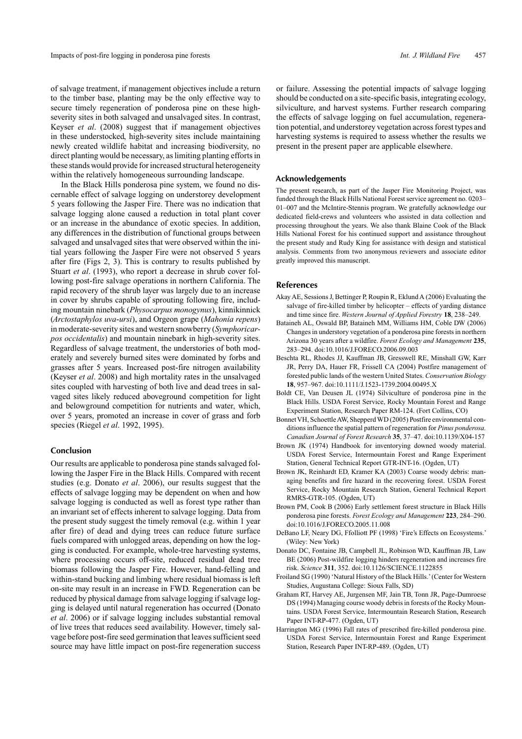of salvage treatment, if management objectives include a return to the timber base, planting may be the only effective way to secure timely regeneration of ponderosa pine on these highseverity sites in both salvaged and unsalvaged sites. In contrast, Keyser *et al*. (2008) suggest that if management objectives in these understocked, high-severity sites include maintaining newly created wildlife habitat and increasing biodiversity, no direct planting would be necessary, as limiting planting efforts in

these stands would provide for increased structural heterogeneity

within the relatively homogeneous surrounding landscape. In the Black Hills ponderosa pine system, we found no discernable effect of salvage logging on understorey development 5 years following the Jasper Fire. There was no indication that salvage logging alone caused a reduction in total plant cover or an increase in the abundance of exotic species. In addition, any differences in the distribution of functional groups between salvaged and unsalvaged sites that were observed within the initial years following the Jasper Fire were not observed 5 years after fire (Figs 2, 3). This is contrary to results published by Stuart *et al*. (1993), who report a decrease in shrub cover following post-fire salvage operations in northern California. The rapid recovery of the shrub layer was largely due to an increase in cover by shrubs capable of sprouting following fire, including mountain ninebark (*Physocarpus monogynus*), kinnikinnick (*Arctostaphylos uva*-*ursi*), and Orgeon grape (*Mahonia repens*) in moderate-severity sites and western snowberry (*Symphoricarpos occidentalis*) and mountain ninebark in high-severity sites. Regardless of salvage treatment, the understories of both moderately and severely burned sites were dominated by forbs and grasses after 5 years. Increased post-fire nitrogen availability (Keyser *et al*. 2008) and high mortality rates in the unsalvaged sites coupled with harvesting of both live and dead trees in salvaged sites likely reduced aboveground competition for light and belowground competition for nutrients and water, which, over 5 years, promoted an increase in cover of grass and forb species (Riegel *et al*. 1992, 1995).

#### **Conclusion**

Our results are applicable to ponderosa pine stands salvaged following the Jasper Fire in the Black Hills. Compared with recent studies (e.g. Donato *et al*. 2006), our results suggest that the effects of salvage logging may be dependent on when and how salvage logging is conducted as well as forest type rather than an invariant set of effects inherent to salvage logging. Data from the present study suggest the timely removal (e.g. within 1 year after fire) of dead and dying trees can reduce future surface fuels compared with unlogged areas, depending on how the logging is conducted. For example, whole-tree harvesting systems, where processing occurs off-site, reduced residual dead tree biomass following the Jasper Fire. However, hand-felling and within-stand bucking and limbing where residual biomass is left on-site may result in an increase in FWD. Regeneration can be reduced by physical damage from salvage logging if salvage logging is delayed until natural regeneration has occurred (Donato *et al*. 2006) or if salvage logging includes substantial removal of live trees that reduces seed availability. However, timely salvage before post-fire seed germination that leaves sufficient seed source may have little impact on post-fire regeneration success

or failure. Assessing the potential impacts of salvage logging should be conducted on a site-specific basis, integrating ecology, silviculture, and harvest systems. Further research comparing the effects of salvage logging on fuel accumulation, regeneration potential, and understorey vegetation across forest types and harvesting systems is required to assess whether the results we present in the present paper are applicable elsewhere.

# **Acknowledgements**

The present research, as part of the Jasper Fire Monitoring Project, was funded through the Black Hills National Forest service agreement no. 0203– 01–007 and the McIntire-Stennis program. We gratefully acknowledge our dedicated field-crews and volunteers who assisted in data collection and processing throughout the years. We also thank Blaine Cook of the Black Hills National Forest for his continued support and assistance throughout the present study and Rudy King for assistance with design and statistical analysis. Comments from two anonymous reviewers and associate editor greatly improved this manuscript.

#### **References**

- Akay AE, Sessions J, Bettinger P, Roupin R, Eklund A (2006) Evaluating the salvage of fire-killed timber by helicopter – effects of yarding distance and time since fire. *Western Journal of Applied Forestry* **18**, 238–249.
- Bataineh AL, Oswald BP, Bataineh MM, Williams HM, Coble DW (2006) Changes in understory vegetation of a ponderosa pine forests in northern Arizona 30 years after a wildfire. *Forest Ecology and Management* **235**, 283–294. doi:10.1016/J.FORECO.2006.09.003
- Beschta RL, Rhodes JJ, Kauffman JB, Gresswell RE, Minshall GW, Karr JR, Perry DA, Hauer FR, Frissell CA (2004) Postfire management of forested public lands of the western United States. *Conservation Biology* **18**, 957–967. doi:10.1111/J.1523-1739.2004.00495.X
- Boldt CE, Van Deusen JL (1974) Silviculture of ponderosa pine in the Black Hills. USDA Forest Service, Rocky Mountain Forest and Range Experiment Station, Research Paper RM-124. (Fort Collins, CO)
- BonnetVH, SchoettleAW, Shepperd WD (2005) Postfire environmental conditions influence the spatial pattern of regeneration for *Pinus ponderosa. Canadian Journal of Forest Research* **35**, 37–47. doi:10.1139/X04-157
- Brown JK (1974) Handbook for inventorying downed woody material. USDA Forest Service, Intermountain Forest and Range Experiment Station, General Technical Report GTR-INT-16. (Ogden, UT)
- Brown JK, Reinhardt ED, Kramer KA (2003) Coarse woody debris: managing benefits and fire hazard in the recovering forest. USDA Forest Service, Rocky Mountain Research Station, General Technical Report RMRS-GTR-105. (Ogden, UT)
- Brown PM, Cook B (2006) Early settlement forest structure in Black Hills ponderosa pine forests. *Forest Ecology and Management* **223**, 284–290. doi:10.1016/J.FORECO.2005.11.008
- DeBano LF, Neary DG, Ffolliott PF (1998) 'Fire's Effects on Ecosystems.' (Wiley: New York)
- Donato DC, Fontaine JB, Campbell JL, Robinson WD, Kauffman JB, Law BE (2006) Post-wildfire logging hinders regeneration and increases fire risk. *Science* **311**, 352. doi:10.1126/SCIENCE.1122855
- Froiland SG (1990) 'Natural History of the Black Hills.'(Center for Western Studies, Augustana College: Sioux Falls, SD)
- Graham RT, Harvey AE, Jurgensen MF, Jain TB, Tonn JR, Page-Dumroese DS (1994) Managing course woody debris in forests of the Rocky Mountains. USDA Forest Service, Intermountain Research Station, Research Paper INT-RP-477. (Ogden, UT)
- Harrington MG (1996) Fall rates of prescribed fire-killed ponderosa pine. USDA Forest Service, Intermountain Forest and Range Experiment Station, Research Paper INT-RP-489. (Ogden, UT)